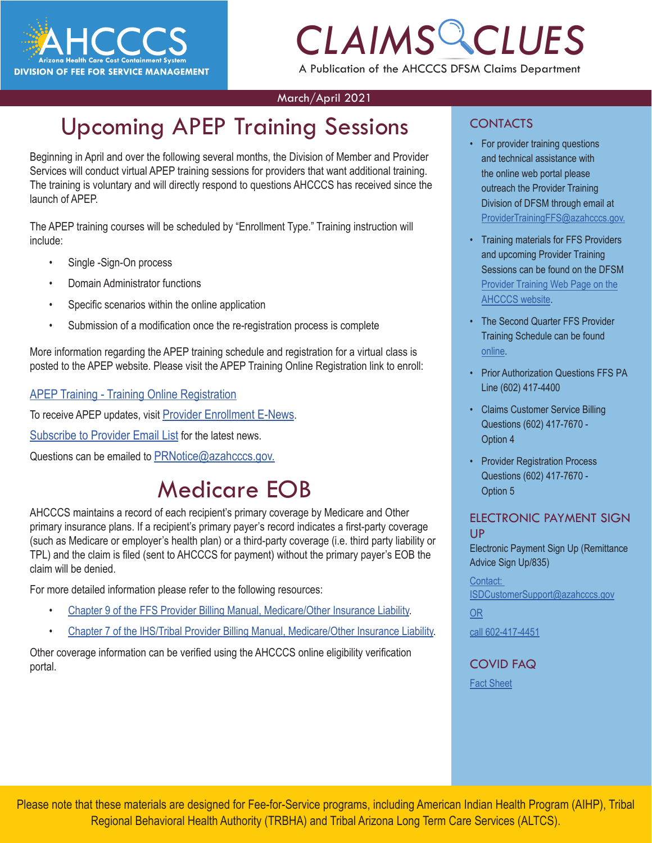

# *CLAIMS CLUES* A Publication of the AHCCCS DFSM Claims Department

#### March/April 2021

# Upcoming APEP Training Sessions

Beginning in April and over the following several months, the Division of Member and Provider Services will conduct virtual APEP training sessions for providers that want additional training. The training is voluntary and will directly respond to questions AHCCCS has received since the launch of APEP.

The APEP training courses will be scheduled by "Enrollment Type." Training instruction will include:

- Single -Sign-On process
- Domain Administrator functions
- Specific scenarios within the online application
- Submission of a modification once the re-registration process is complete

More information regarding the APEP training schedule and registration for a virtual class is posted to the APEP website. Please visit the APEP Training Online Registration link to enroll:

[APEP Training - Training Online Registration](http://r20.rs6.net/tn.jsp?f=0018v75y1zM-CvknY5lUt7JNIUS4t0HGZ7oFq9vCI8UN9B7N-fpHb02LgwjuurT1idZntVZLlZ4fDCBZPAWrYRJEzYlx83ZqWKJ87Qxm4oCN8fQmOROGiBcbiKv4H_2oXHveDdiMCYdqVBDplC8qD_gTuS1_V_ZdRKm_A-tQkVJ9cM-Q_PL3ElfbNddAAX4T5nvFSLm1bKS6_3vIaF6sk9cuc4f6b-zpM7KfYRaqmeFbeM=&c=82JBLZqpfVgDaLE8udd7L49gbFyJeDDLBivU7EXSrkj-XmaVvPbzbQ==&ch=-CcxVyoKOqrpCopRSBgpflBj6oDhZrFilTECZug4JG_JXoQbE7RzRg==)

To receive APEP updates, visit [Provider Enrollment E-News](http://r20.rs6.net/tn.jsp?f=0018v75y1zM-CvknY5lUt7JNIUS4t0HGZ7oFq9vCI8UN9B7N-fpHb02LgwjuurT1idZdqSQUNSwNDyxSidMYBHXca28NZEhueqygZlLHm6F0-a75jyicya8V8nje50l7d3D1-TbC7kK3Bm86QeM0uw4mehhIrzM5sfXWkfhja-1U38WINtQMiWs7RhmeIZ1ooQnBJRsRPSjF7k=&c=82JBLZqpfVgDaLE8udd7L49gbFyJeDDLBivU7EXSrkj-XmaVvPbzbQ==&ch=-CcxVyoKOqrpCopRSBgpflBj6oDhZrFilTECZug4JG_JXoQbE7RzRg==).

[Subscribe to Provider Email List](http://r20.rs6.net/tn.jsp?f=0018v75y1zM-CvknY5lUt7JNIUS4t0HGZ7oFq9vCI8UN9B7N-fpHb02LgwjuurT1idZ3Z-wpygEucFcXV_y8aHRR8st9wgUx59XwHkQpUNztgupa8zUB08ToqsbuSqt2hd0UJYSnUy2LPzsScvdRxyf0GGo2k_oCsjFPkeCytaveb0y5UPXZJ8BUtQqxNldLbCMp5JH6gAwIy1mJujbiZapkNi3rayTqREKBx5UrxX4UNpxbqs38G5zw9sBeZBqpbREX4AQY7eTYiSXLo6H2wyB9kLAngD7qdX4AFsX0kTHCrJIv_BW3RQ01eBsf3VKqFbyeQXr5WX_uudVK8OFTXa9Qtl9_tSd40YQQO7LRWkVAgBrZPztc7ZkjXcGfu_jfFc_Jg_Hd7XEaWpZ0YwTfTx0_8dToq7GVLcH&c=82JBLZqpfVgDaLE8udd7L49gbFyJeDDLBivU7EXSrkj-XmaVvPbzbQ==&ch=-CcxVyoKOqrpCopRSBgpflBj6oDhZrFilTECZug4JG_JXoQbE7RzRg==) for the latest news.

Questions can be emailed to [PRNotice@azahcccs.gov.](mailto:PRNotice@azahcccs.gov.)

### Medicare EOB

AHCCCS maintains a record of each recipient's primary coverage by Medicare and Other primary insurance plans. If a recipient's primary payer's record indicates a first-party coverage (such as Medicare or employer's health plan) or a third-party coverage (i.e. third party liability or TPL) and the claim is filed (sent to AHCCCS for payment) without the primary payer's EOB the claim will be denied.

For more detailed information please refer to the following resources:

- [Chapter 9 of the FFS Provider Billing Manual, Medicare/Other Insurance Liability.](https://www.azahcccs.gov/PlansProviders/Downloads/FFSProviderManual/FFS_Chap09Medicare.pdf)
- [Chapter 7 of the IHS/Tribal Provider Billing Manual, Medicare/Other Insurance Liability.](https://www.azahcccs.gov/PlansProviders/Downloads/IHS-TribalManual/IHS-Chap07Medicare.pdf)

Other coverage information can be verified using the AHCCCS online eligibility verification portal.

### **CONTACTS**

- For provider training questions<br>
and Provider and technical assistance with<br>
ional training.<br>
<sup>the online web portal please</sup> and technical assistance with the online web portal please outreach the Provider Training Division of DFSM through email at [ProviderTrainingFFS@azahcccs.gov.](mailto:ProviderTrainingFFS%40azahcccs.gov.?subject=)
	- Training materials for FFS Providers and upcoming Provider Training Sessions can be found on the DFSM [Provider Training Web Page on the](https://www.azahcccs.gov/Resources/Training/DFSM_Training.html) AHCCCS website.
	- The Second Quarter FFS Provider Training Schedule can be found [online.](https://www.azahcccs.gov/Resources/Downloads/DFMSTraining/2021/ProviderTrainingScheduleSecondQuarter2021.pdf)
	- Prior Authorization Questions FFS PA Line (602) 417-4400
	- Claims Customer Service Billing Questions (602) 417-7670 - Option 4
	- Provider Registration Process Questions (602) 417-7670 - Option 5

### ELECTRONIC PAYMENT SIGN UP

Electronic Payment Sign Up (Remittance Advice Sign Up/835)

Contact: [ISDCustomerSupport@azahcccs.gov](https://azahcccs.gov/AHCCCS/AboutUs/covid19FAQ.html) [OR](https://azahcccs.gov/AHCCCS/AboutUs/covid19FAQ.html)

[call 602-417-4451](https://azahcccs.gov/AHCCCS/AboutUs/covid19FAQ.html)

### [COVID FAQ](https://azahcccs.gov/AHCCCS/AboutUs/covid19FAQ.html)

[Fact Sheet](https://azahcccs.gov/AHCCCS/AboutUs/covid19FAQ.html)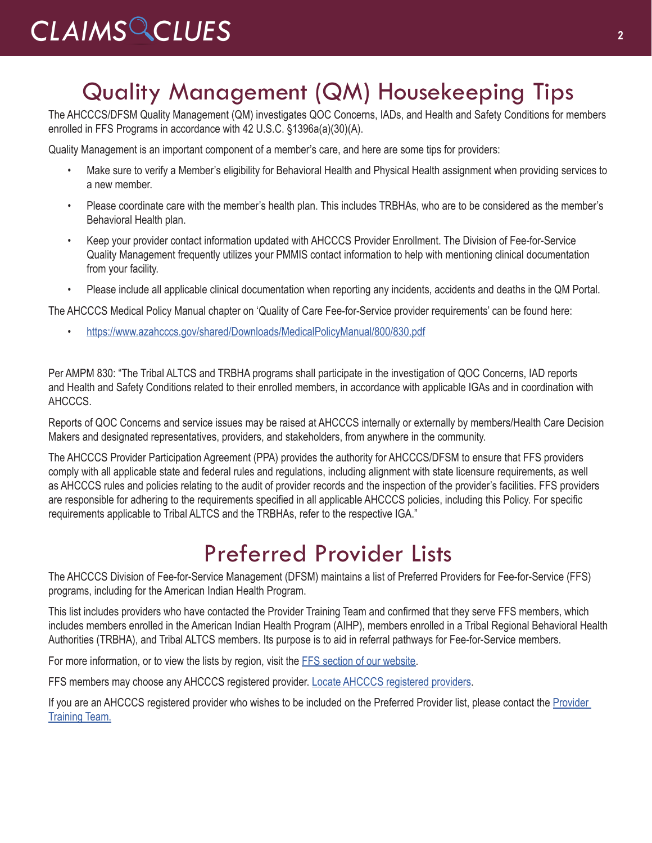# Quality Management (QM) Housekeeping Tips

The AHCCCS/DFSM Quality Management (QM) investigates QOC Concerns, IADs, and Health and Safety Conditions for members enrolled in FFS Programs in accordance with 42 U.S.C. §1396a(a)(30)(A).

Quality Management is an important component of a member's care, and here are some tips for providers:

- Make sure to verify a Member's eligibility for Behavioral Health and Physical Health assignment when providing services to a new member.
- Please coordinate care with the member's health plan. This includes TRBHAs, who are to be considered as the member's Behavioral Health plan.
- Keep your provider contact information updated with AHCCCS Provider Enrollment. The Division of Fee-for-Service Quality Management frequently utilizes your PMMIS contact information to help with mentioning clinical documentation from your facility.
- Please include all applicable clinical documentation when reporting any incidents, accidents and deaths in the QM Portal.

The AHCCCS Medical Policy Manual chapter on 'Quality of Care Fee-for-Service provider requirements' can be found here:

• <https://www.azahcccs.gov/shared/Downloads/MedicalPolicyManual/800/830.pdf>

Per AMPM 830: "The Tribal ALTCS and TRBHA programs shall participate in the investigation of QOC Concerns, IAD reports and Health and Safety Conditions related to their enrolled members, in accordance with applicable IGAs and in coordination with AHCCCS.

Reports of QOC Concerns and service issues may be raised at AHCCCS internally or externally by members/Health Care Decision Makers and designated representatives, providers, and stakeholders, from anywhere in the community.

The AHCCCS Provider Participation Agreement (PPA) provides the authority for AHCCCS/DFSM to ensure that FFS providers comply with all applicable state and federal rules and regulations, including alignment with state licensure requirements, as well as AHCCCS rules and policies relating to the audit of provider records and the inspection of the provider's facilities. FFS providers are responsible for adhering to the requirements specified in all applicable AHCCCS policies, including this Policy. For specific requirements applicable to Tribal ALTCS and the TRBHAs, refer to the respective IGA."

## Preferred Provider Lists

The AHCCCS Division of Fee-for-Service Management (DFSM) maintains a list of Preferred Providers for Fee-for-Service (FFS) programs, including for the American Indian Health Program.

This list includes providers who have contacted the Provider Training Team and confirmed that they serve FFS members, which includes members enrolled in the American Indian Health Program (AIHP), members enrolled in a Tribal Regional Behavioral Health Authorities (TRBHA), and Tribal ALTCS members. Its purpose is to aid in referral pathways for Fee-for-Service members.

For more information, or to view the lists by region, visit the [FFS section of our website](https://www.azahcccs.gov/PlansProviders/FeeForServiceHealthPlans/).

FFS members may choose any AHCCCS registered provider. [Locate AHCCCS registered providers.](https://www.azahcccs.gov/Members/ProgramsAndCoveredServices/ProviderListings/)

If you are an AHCCCS registered provider who wishes to be included on the Preferred [Provider](mailto:ProviderTrainingFFS%40azahcccs.gov?subject=) list, please contact the Provider [Training Team.](mailto:ProviderTrainingFFS%40azahcccs.gov?subject=)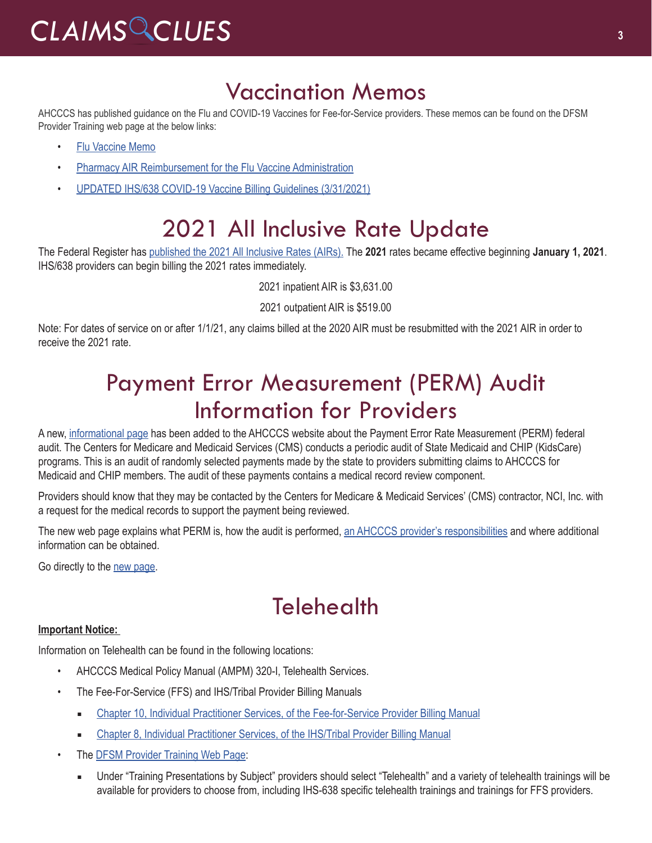### Vaccination Memos

AHCCCS has published guidance on the Flu and COVID-19 Vaccines for Fee-for-Service providers. These memos can be found on the DFSM Provider Training web page at the below links:

- [Flu Vaccine Memo](https://www.azahcccs.gov/Resources/Downloads/DFMSTraining/2020/FluVaccineMemo.pdf)
- [Pharmacy AIR Reimbursement for the Flu Vaccine Administration](https://www.azahcccs.gov/Resources/Downloads/DFMSTraining/2020/PharmacyAIR_ReimbursementForTheFluVaccineAdministration.pdf)
- [UPDATED IHS/638 COVID-19 Vaccine Billing Guidelines \(3/31/2021\)](https://www.azahcccs.gov/Resources/Downloads/DFMSTraining/2021/IHS638COVID19VaccineAdminBillingGuidelines.pdf)

# 2021 All Inclusive Rate Update

The Federal Register has [published the 2021 All Inclusive Rates \(AIRs\).](https://www.federalregister.gov/documents/2020/12/31/2020-28950/reimbursement-rates-for-calendar-year-2021
) The **2021** rates became effective beginning **January 1, 2021**. IHS/638 providers can begin billing the 2021 rates immediately.

2021 inpatient AIR is \$3,631.00

2021 outpatient AIR is \$519.00

Note: For dates of service on or after 1/1/21, any claims billed at the 2020 AIR must be resubmitted with the 2021 AIR in order to receive the 2021 rate.

### Payment Error Measurement (PERM) Audit Information for Providers

A new, [informational page](https://www.azahcccs.gov/PlansProviders/OtherProviderProgramsAndInitiatives/PERM.html) has been added to the AHCCCS website about the Payment Error Rate Measurement (PERM) federal audit. The Centers for Medicare and Medicaid Services (CMS) conducts a periodic audit of State Medicaid and CHIP (KidsCare) programs. This is an audit of randomly selected payments made by the state to providers submitting claims to AHCCCS for Medicaid and CHIP members. The audit of these payments contains a medical record review component.

Providers should know that they may be contacted by the Centers for Medicare & Medicaid Services' (CMS) contractor, NCI, Inc. with a request for the medical records to support the payment being reviewed.

The new web page explains what PERM is, how the audit is performed, an AHCCCS [provider's responsibilities](https://www.azahcccs.gov/PlansProviders/OtherProviderProgramsAndInitiatives/PERM.html) and where additional information can be obtained.

Go directly to the [new page.](https://www.azahcccs.gov/PlansProviders/OtherProviderProgramsAndInitiatives/PERM.html)

## **Telehealth**

#### **Important Notice:**

Information on Telehealth can be found in the following locations:

- AHCCCS Medical Policy Manual [\(AMPM\) 320-I, Telehealth Services](https://www.azahcccs.gov/shared/Downloads/MedicalPolicyManual/300/320-I.pdf).
- The Fee-For-Service (FFS) and IHS/Tribal Provider Billing Manuals
	- [Chapter 10, Individual Practitioner Services, of the Fee-for-Service Provider Billing Manual](https://www.azahcccs.gov/PlansProviders/Downloads/FFSProviderManual/FFS_Chap10.pdf)
	- [Chapter 8, Individual Practitioner Services, of the IHS/Tribal Provider Billing Manual](https://www.azahcccs.gov/PlansProviders/Downloads/IHS-TribalManual/IHS-Chap08IndivPractitionerSvcs.pdf)
- The **DFSM Provider Training Web Page:** 
	- Under "Training Presentations by Subject" providers should select "Telehealth" and a variety of telehealth trainings will be available for providers to choose from, including IHS-638 specific telehealth trainings and trainings for FFS providers.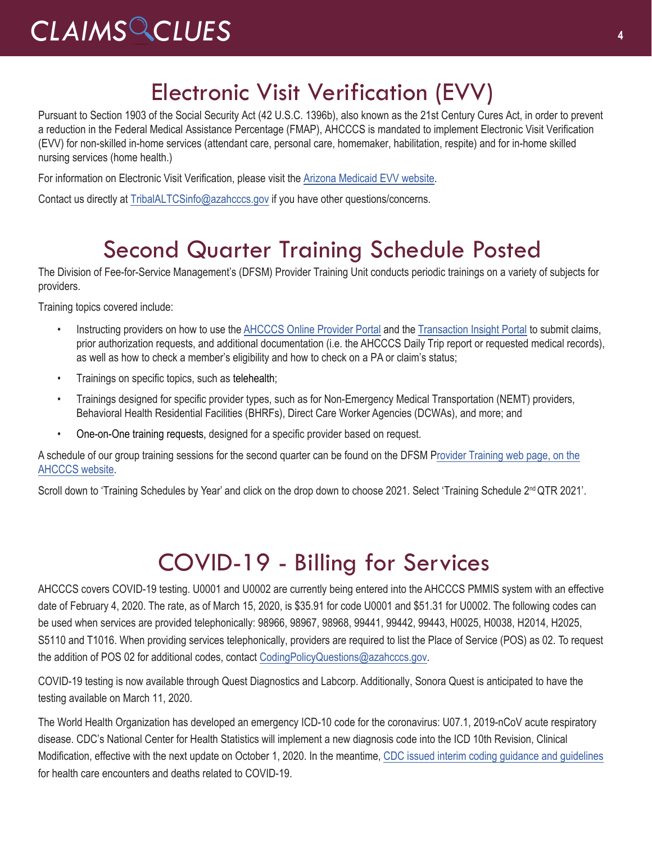# Electronic Visit Verification (EVV)

Pursuant to Section 1903 of the Social Security Act (42 U.S.C. 1396b), also known as the 21st Century Cures Act, in order to prevent a reduction in the Federal Medical Assistance Percentage (FMAP), AHCCCS is mandated to implement Electronic Visit Verification (EVV) for non-skilled in-home services (attendant care, personal care, homemaker, habilitation, respite) and for in-home skilled nursing services (home health.)

For information on Electronic Visit Verification, please visit the [Arizona Medicaid EVV website.](https://www.azahcccs.gov/AHCCCS/Initiatives/EVV/) 

Contact us directly at [TribalALTCSinfo@azahcccs.gov](mailto:TribalALTCSinfo@azahcccs.gov) if you have other questions/concerns.

### Second Quarter Training Schedule Posted

The Division of Fee-for-Service Management's (DFSM) Provider Training Unit conducts periodic trainings on a variety of subjects for providers.

Training topics covered include:

- Instructing providers on how to use the [AHCCCS Online Provider Portal](https://azweb.statemedicaid.us/Account/Login.aspx?ReturnUrl=%2f) and the [Transaction Insight Portal](https://tiwebprd.statemedicaid.us/AHCCCS/default.aspx?ReturnUrl=%2fAHCCCS%2f) to submit claims, prior authorization requests, and additional documentation (i.e. the AHCCCS Daily Trip report or requested medical records), as well as how to check a member's eligibility and how to check on a PA or claim's status;
- Trainings on specific topics, such as telehealth;
- Trainings designed for specific provider types, such as for Non-Emergency Medical Transportation (NEMT) providers, Behavioral Health Residential Facilities (BHRFs), Direct Care Worker Agencies (DCWAs), and more; and
- One-on-One training requests, designed for a specific provider based on request.

A schedule of our group training sessions for the second quarter can be found on the DFSM Provider Training web page, on the [AHCCCS website.](https://www.azahcccs.gov/Resources/Training/DFSM_Training.html)

Scroll down to 'Training Schedules by Year' and click on the drop down to choose 2021. Selec[t 'Training Schedule 2](https://www.azahcccs.gov/Resources/Training/DFSM_Training.html)<sup>nd</sup> QTR 2021'.

## COVID-19 - Billing for Services

AHCCCS covers COVID-19 testing. U0001 and U0002 are currently being entered into the AHCCCS PMMIS system with an effective date of February 4, 2020. The rate, as of March 15, 2020, is \$35.91 for code U0001 and \$51.31 for U0002. The following codes can be used when services are provided telephonically: 98966, 98967, 98968, 99441, 99442, 99443, H0025, H0038, H2014, H2025, S5110 and T1016. When providing services telephonically, providers are required to list the Place of Service (POS) as 02. To request the addition of POS 02 for additional codes, contact [CodingPolicyQuestions@azahcccs.gov](mailto:CodingPolicyQuestions@azahcccs.gov).

COVID-19 testing is now available through Quest Diagnostics and Labcorp. Additionally, Sonora Quest is anticipated to have the testing available on March 11, 2020.

The World Health Organization has developed an emergency ICD-10 code for the coronavirus: U07.1, 2019-nCoV acute respiratory disease. CDC's National Center for Health Statistics will implement a new diagnosis code into the ICD 10th Revision, Clinical Modification, effective with the next update on October 1, 2020. In the meantime, [CDC issued interim coding guidance and guidelines](https://www.cdc.gov/nchs/data/icd/ICD-10-CM-Official-Coding-Gudance-Interim-Advice-coronavirus-feb-20-2020.pdf) for health care encounters and deaths related to COVID-19.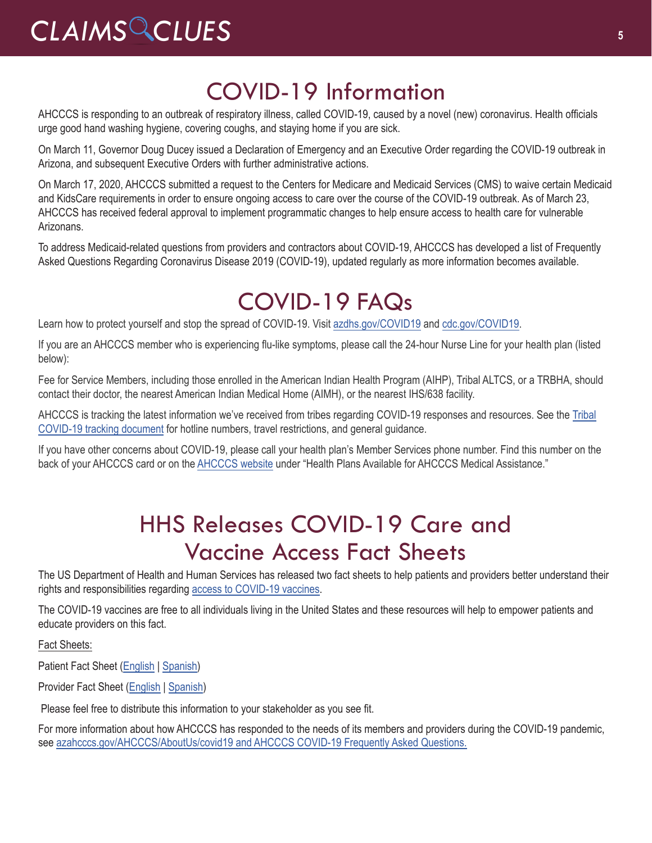# COVID-19 Information

AHCCCS is responding to an outbreak of respiratory illness, called COVID-19, caused by a novel (new) coronavirus. Health officials urge good hand washing hygiene, covering coughs, and staying home if you are sick.

On March 11, Governor Doug Ducey issued a [Declaration of Emergency](https://azgovernor.gov/sites/default/files/declaraton_0.pdf) and an [Executive Order](https://azgovernor.gov/sites/default/files/eo_2020-07.pdf) regarding the COVID-19 outbreak in Arizona, and subsequent [Executive Orders](https://azgovernor.gov/executive-orders) with further administrative actions.

On March 17, 2020, AHCCCS [submitted a request](https://azahcccs.gov/Resources/Federal/PendingWaivers/1135.html) to the Centers for Medicare and Medicaid Services (CMS) to waive certain Medicaid and KidsCare requirements in order to ensure ongoing access to care over the course of the COVID-19 outbreak. As of March 23, AHCCCS has received federal approval to implement programmatic changes to help ensure access to health care for vulnerable Arizonans.

To address Medicaid-related questions from providers and contractors about COVID-19, AHCCCS has developed a list of Frequently Asked Questions Regarding Coronavirus Disease 2019 (COVID-19), updated regularly as more information becomes available.

# [COVID-19 FAQs](https://azahcccs.gov/AHCCCS/AboutUs/covid19FAQ.html)

Learn how to protect yourself and stop the spread of COVID-19. Visit [azdhs.gov/COVID19](https://azdhs.gov/covid19) and [cdc.gov/COVID19.](https://www.cdc.gov/covid19)

If you are an AHCCCS member who is experiencing flu-like symptoms, please call the 24-hour Nurse Line for your health plan (listed below):

Fee for Service Members, including those enrolled in the American Indian Health Program (AIHP), Tribal ALTCS, or a TRBHA, should contact their doctor, the nearest American Indian Medical Home (AIMH), or the nearest IHS/638 facility.

AHCCCS is tracking the latest information we've received from tribes regarding COVID-19 responses and resources. See the [Tribal](https://docs.google.com/spreadsheets/d/15AMRtVLl1RT2ZTC13H1bhPfZtVRntDOkDvHZwQ29tKQ/edit#gid=0)  [COVID-19 tracking document](https://docs.google.com/spreadsheets/d/15AMRtVLl1RT2ZTC13H1bhPfZtVRntDOkDvHZwQ29tKQ/edit#gid=0) for hotline numbers, travel restrictions, and general guidance.

If you have other concerns about COVID-19, please call your health plan's Member Services phone number. Find this number on the back of your AHCCCS card or on the [AHCCCS website](https://www.azahcccs.gov/Members/ProgramsAndCoveredServices/availablehealthplans.html) under "Health Plans Available for AHCCCS Medical Assistance."

## HHS Releases COVID-19 Care and Vaccine Access Fact Sheets

The US Department of Health and Human Services has released two fact sheets to help patients and providers better understand their rights and responsibilities regarding [access to COVID-19 vaccines](https://www.hhs.gov/coronavirus/covid-19-care-uninsured-individuals/index.html).

The COVID-19 vaccines are free to all individuals living in the United States and these resources will help to empower patients and educate providers on this fact.

Fact Sheets:

Patient Fact Sheet ([English](https://www.hhs.gov/sites/default/files/uninsured-patient-covid-services-poster.pdf) | [Spanish](https://www.hhs.gov/sites/default/files/uninsured-patient-covid-services-poster-spanish.pdf))

Provider Fact Sheet [\(English](https://www.hhs.gov/sites/default/files/provider-covid-vaccine-factsheet.pdf) | [Spanish\)](https://www.hhs.gov/sites/default/files/provider-covid-vaccine-factsheet-spanish.pdf)

Please feel free to distribute this information to your stakeholder as you see fit.

For more information about how AHCCCS has responded to the needs of its members and providers during the COVID-19 pandemic, see [azahcccs.gov/AHCCCS/AboutUs/covid19 and AHCCCS COVID-19 Frequently Asked Questions.](https://azahcccs.gov/AHCCCS/AboutUs/covid19FAQ.html)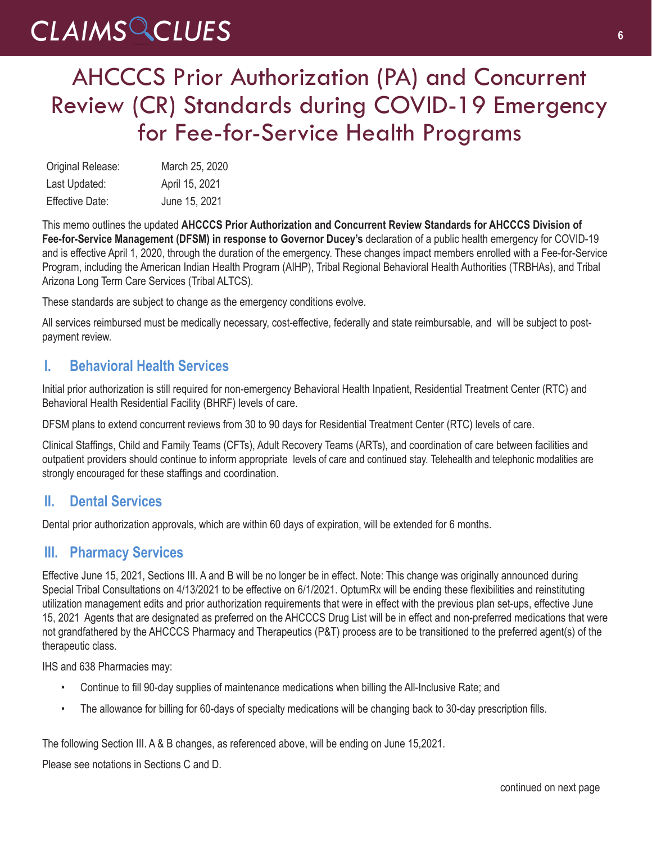## AHCCCS Prior Authorization (PA) and Concurrent Review (CR) Standards during COVID-19 Emergency for Fee-for-Service Health Programs

| Original Release:      | March 25, 2020 |
|------------------------|----------------|
| Last Updated:          | April 15, 2021 |
| <b>Effective Date:</b> | June 15, 2021  |

This memo outlines the updated **AHCCCS Prior Authorization and Concurrent Review Standards for AHCCCS Division of Fee-for-Service Management (DFSM) in response to Governor Ducey's** declaration of a public health emergency for COVID-19 and is effective April 1, 2020, through the duration of the emergency. These changes impact members enrolled with a Fee-for-Service Program, including the American Indian Health Program (AIHP), Tribal Regional Behavioral Health Authorities (TRBHAs), and Tribal Arizona Long Term Care Services (Tribal ALTCS).

These standards are subject to change as the emergency conditions evolve.

All services reimbursed must be medically necessary, cost-effective, federally and state reimbursable, and will be subject to postpayment review.

### **I. Behavioral Health Services**

Initial prior authorization is still required for non-emergency Behavioral Health Inpatient, Residential Treatment Center (RTC) and Behavioral Health Residential Facility (BHRF) levels of care.

DFSM plans to extend concurrent reviews from 30 to 90 days for Residential Treatment Center (RTC) levels of care.

Clinical Staffings, Child and Family Teams (CFTs), Adult Recovery Teams (ARTs), and coordination of care between facilities and outpatient providers should continue to inform appropriate levels of care and continued stay. Telehealth and telephonic modalities are strongly encouraged for these staffings and coordination.

### **II. Dental Services**

Dental prior authorization approvals, which are within 60 days of expiration, will be extended for 6 months.

### **III. Pharmacy Services**

Effective June 15, 2021, Sections III. A and B will be no longer be in effect. Note: This change was originally announced during Special Tribal Consultations on 4/13/2021 to be effective on 6/1/2021. OptumRx will be ending these flexibilities and reinstituting utilization management edits and prior authorization requirements that were in effect with the previous plan set-ups, effective June 15, 2021 Agents that are designated as preferred on the AHCCCS Drug List will be in effect and non-preferred medications that were not grandfathered by the AHCCCS Pharmacy and Therapeutics (P&T) process are to be transitioned to the preferred agent(s) of the therapeutic class.

IHS and 638 Pharmacies may:

- Continue to fill 90-day supplies of maintenance medications when billing the All-Inclusive Rate; and
- The allowance for billing for 60-days of specialty medications will be changing back to 30-day prescription fills.

The following Section III. A & B changes, as referenced above, will be ending on June 15,2021.

Please see notations in Sections C and D.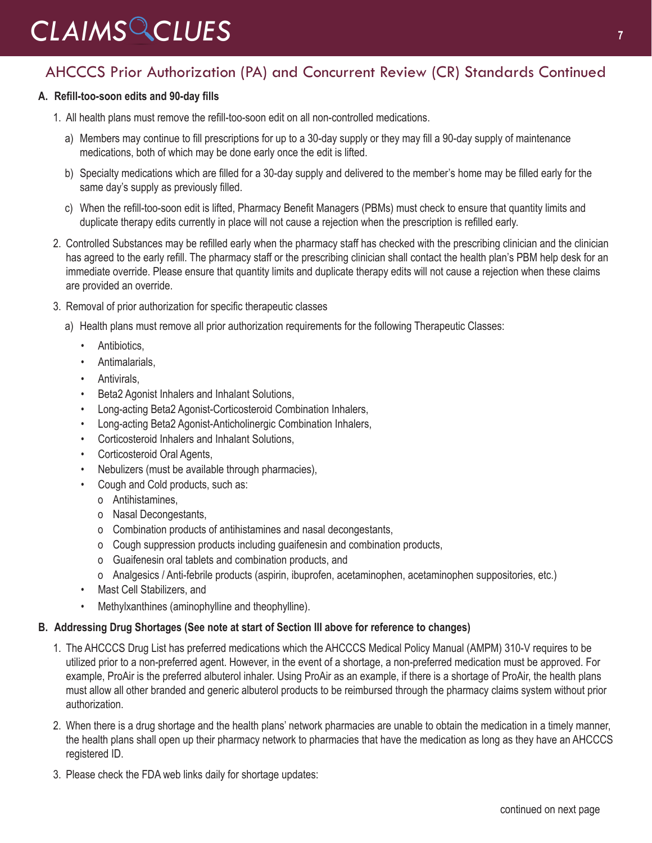### AHCCCS Prior Authorization (PA) and Concurrent Review (CR) Standards Continued

#### **A. Refill-too-soon edits and 90-day fills**

- 1. All health plans must remove the refill-too-soon edit on all non-controlled medications.
	- a) Members may continue to fill prescriptions for up to a 30-day supply or they may fill a 90-day supply of maintenance medications, both of which may be done early once the edit is lifted.
	- b) Specialty medications which are filled for a 30-day supply and delivered to the member's home may be filled early for the same day's supply as previously filled.
	- c) When the refill-too-soon edit is lifted, Pharmacy Benefit Managers (PBMs) must check to ensure that quantity limits and duplicate therapy edits currently in place will not cause a rejection when the prescription is refilled early.
- 2. Controlled Substances may be refilled early when the pharmacy staff has checked with the prescribing clinician and the clinician has agreed to the early refill. The pharmacy staff or the prescribing clinician shall contact the health plan's PBM help desk for an immediate override. Please ensure that quantity limits and duplicate therapy edits will not cause a rejection when these claims are provided an override.
- 3. Removal of prior authorization for specific therapeutic classes
	- a) Health plans must remove all prior authorization requirements for the following Therapeutic Classes:
		- Antibiotics.
		- Antimalarials,
		- Antivirals,
		- Beta2 Agonist Inhalers and Inhalant Solutions,
		- Long-acting Beta2 Agonist-Corticosteroid Combination Inhalers,
		- Long-acting Beta2 Agonist-Anticholinergic Combination Inhalers,
		- Corticosteroid Inhalers and Inhalant Solutions,
		- Corticosteroid Oral Agents,
		- Nebulizers (must be available through pharmacies),
		- Cough and Cold products, such as:
			- o Antihistamines,
			- o Nasal Decongestants,
			- o Combination products of antihistamines and nasal decongestants,
			- o Cough suppression products including guaifenesin and combination products,
			- o Guaifenesin oral tablets and combination products, and
			- o Analgesics / Anti-febrile products (aspirin, ibuprofen, acetaminophen, acetaminophen suppositories, etc.)
		- Mast Cell Stabilizers, and
		- Methylxanthines (aminophylline and theophylline).

#### **B. Addressing Drug Shortages (See note at start of Section III above for reference to changes)**

- 1. The AHCCCS Drug List has preferred medications which the AHCCCS Medical Policy Manual (AMPM) 310-V requires to be utilized prior to a non-preferred agent. However, in the event of a shortage, a non-preferred medication must be approved. For example, ProAir is the preferred albuterol inhaler. Using ProAir as an example, if there is a shortage of ProAir, the health plans must allow all other branded and generic albuterol products to be reimbursed through the pharmacy claims system without prior authorization.
- 2. When there is a drug shortage and the health plans' network pharmacies are unable to obtain the medication in a timely manner, the health plans shall open up their pharmacy network to pharmacies that have the medication as long as they have an AHCCCS registered ID.
- 3. Please check the FDA web links daily for shortage updates: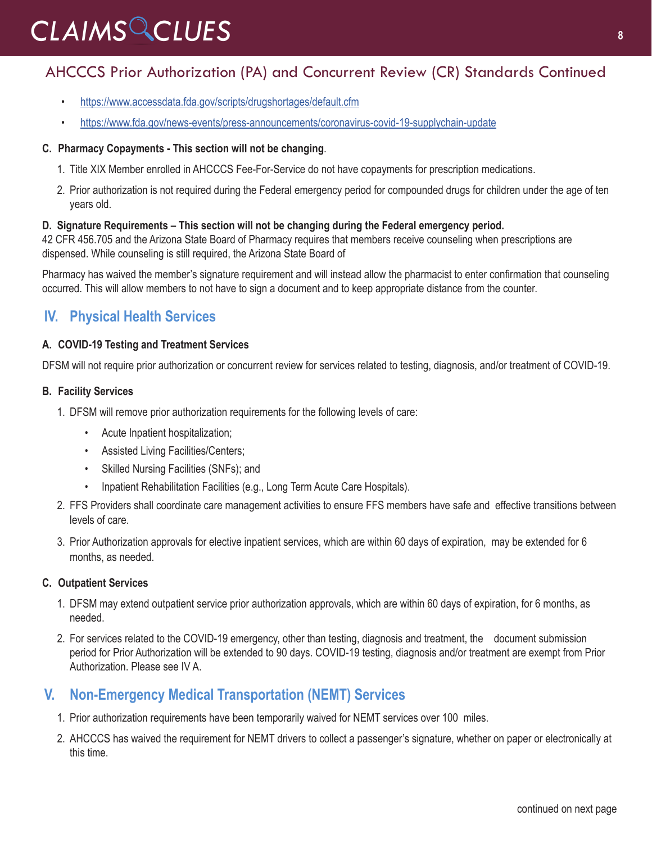### AHCCCS Prior Authorization (PA) and Concurrent Review (CR) Standards Continued

- <https://www.accessdata.fda.gov/scripts/drugshortages/default.cfm>
- <https://www.fda.gov/news-events/press-announcements/coronavirus-covid-19-supplychain-update>

#### **C. Pharmacy Copayments - This section will not be changing**.

- 1. Title XIX Member enrolled in AHCCCS Fee-For-Service do not have copayments for prescription medications.
- 2. Prior authorization is not required during the Federal emergency period for compounded drugs for children under the age of ten years old.

#### **D. Signature Requirements – This section will not be changing during the Federal emergency period.**

42 CFR 456.705 and the Arizona State Board of Pharmacy requires that members receive counseling when prescriptions are dispensed. While counseling is still required, the Arizona State Board of

Pharmacy has waived the member's signature requirement and will instead allow the pharmacist to enter confirmation that counseling occurred. This will allow members to not have to sign a document and to keep appropriate distance from the counter.

### **IV. Physical Health Services**

#### **A. COVID-19 Testing and Treatment Services**

DFSM will not require prior authorization or concurrent review for services related to testing, diagnosis, and/or treatment of COVID-19.

#### **B. Facility Services**

- 1. DFSM will remove prior authorization requirements for the following levels of care:
	- Acute Inpatient hospitalization;
	- Assisted Living Facilities/Centers;
	- Skilled Nursing Facilities (SNFs); and
	- Inpatient Rehabilitation Facilities (e.g., Long Term Acute Care Hospitals).
- 2. FFS Providers shall coordinate care management activities to ensure FFS members have safe and effective transitions between levels of care.
- 3. Prior Authorization approvals for elective inpatient services, which are within 60 days of expiration, may be extended for 6 months, as needed.

#### **C. Outpatient Services**

- 1. DFSM may extend outpatient service prior authorization approvals, which are within 60 days of expiration, for 6 months, as needed.
- 2. For services related to the COVID-19 emergency, other than testing, diagnosis and treatment, the document submission period for Prior Authorization will be extended to 90 days. COVID-19 testing, diagnosis and/or treatment are exempt from Prior Authorization. Please see IV A.

### **V. Non-Emergency Medical Transportation (NEMT) Services**

- 1. Prior authorization requirements have been temporarily waived for NEMT services over 100 miles.
- 2. AHCCCS has waived the requirement for NEMT drivers to collect a passenger's signature, whether on paper or electronically at this time.